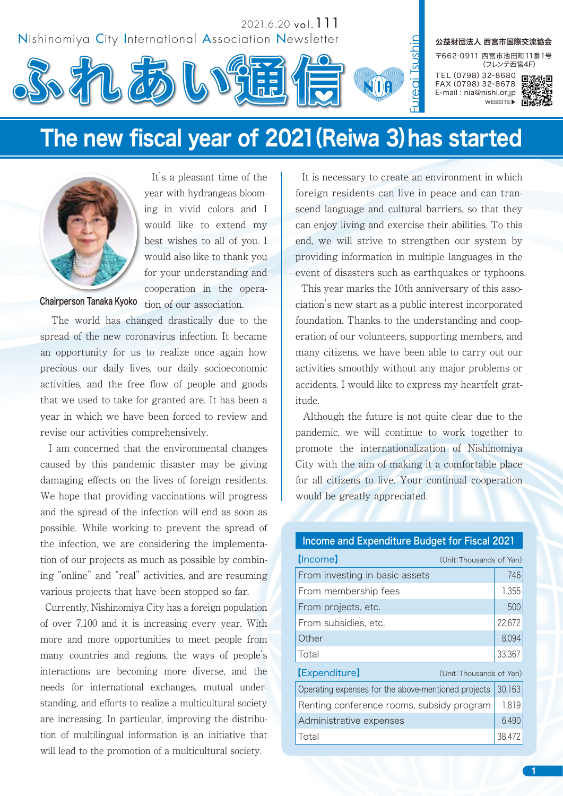

# The new fiscal year of 2021(Reiwa 3)has started



 It's a pleasant time of the year with hydrangeas blooming in vivid colors and I would like to extend my best wishes to all of you. I would also like to thank you for your understanding and cooperation in the opera-

Chairperson Tanaka Kyoko  $\frac{1}{100}$  tion of our association.

 The world has changed drastically due to the spread of the new coronavirus infection. It became an opportunity for us to realize once again how precious our daily lives, our daily socioeconomic activities, and the free flow of people and goods that we used to take for granted are. It has been a year in which we have been forced to review and revise our activities comprehensively.

 I am concerned that the environmental changes caused by this pandemic disaster may be giving damaging effects on the lives of foreign residents. We hope that providing vaccinations will progress and the spread of the infection will end as soon as possible. While working to prevent the spread of the infection, we are considering the implementation of our projects as much as possible by combining "online" and "real" activities, and are resuming various projects that have been stopped so far.

 Currently, Nishinomiya City has a foreign population of over 7,100 and it is increasing every year. With more and more opportunities to meet people from many countries and regions, the ways of people's interactions are becoming more diverse, and the needs for international exchanges, mutual understanding, and efforts to realize a multicultural society are increasing. In particular, improving the distribution of multilingual information is an initiative that will lead to the promotion of a multicultural society.

 It is necessary to create an environment in which foreign residents can live in peace and can transcend language and cultural barriers, so that they can enjoy living and exercise their abilities. To this end, we will strive to strengthen our system by providing information in multiple languages in the event of disasters such as earthquakes or typhoons.

 This year marks the 10th anniversary of this association's new start as a public interest incorporated foundation. Thanks to the understanding and cooperation of our volunteers, supporting members, and many citizens, we have been able to carry out our activities smoothly without any major problems or accidents. I would like to express my heartfelt gratitude.

 Although the future is not quite clear due to the pandemic, we will continue to work together to promote the internationalization of Nishinomiya City with the aim of making it a comfortable place for all citizens to live. Your continual cooperation would be greatly appreciated.

## Income and Expenditure Budget for Fiscal 2021

| <u>Ilncome</u><br>(Unit: Thousands of Yen)          |        |
|-----------------------------------------------------|--------|
| From investing in basic assets                      | 746    |
| From membership fees                                | 1,355  |
| From projects, etc.                                 | 500    |
| From subsidies, etc.                                | 22,672 |
| Other                                               | 8,094  |
| Total                                               | 33,367 |
| <b>[Expenditure]</b><br>(Unit: Thousands of Yen)    |        |
| Operating expenses for the above-mentioned projects | 30,163 |
| Renting conference rooms, subsidy program           | 1,819  |
| Administrative expenses                             | 6,490  |
| Total                                               | 38,472 |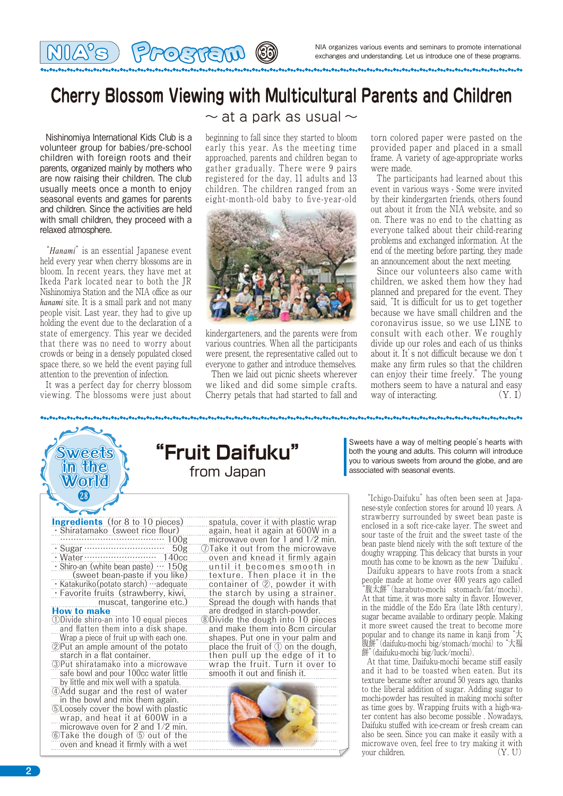# **Cherry Blossom Viewing with Multicultural Parents and Children**

**36036600 (8)** 

 Nishinomiya International Kids Club is a volunteer group for babies/pre-school children with foreign roots and their parents, organized mainly by mothers who are now raising their children. The club usually meets once a month to enjoy seasonal events and games for parents and children. Since the activities are held with small children, they proceed with a relaxed atmosphere.

 "*Hanami*" is an essential Japanese event held every year when cherry blossoms are in bloom. In recent years, they have met at Ikeda Park located near to both the JR Nishinomiya Station and the NIA office as our *hanami* site. It is a small park and not many people visit. Last year, they had to give up holding the event due to the declaration of a state of emergency. This year we decided that there was no need to worry about crowds or being in a densely populated closed space there, so we held the event paying full attention to the prevention of infection.

 It was a perfect day for cherry blossom viewing. The blossoms were just about

### $\sim$  at a park as usual  $\sim$

beginning to fall since they started to bloom early this year. As the meeting time approached, parents and children began to gather gradually. There were 9 pairs registered for the day, 11 adults and 13 children. The children ranged from an eight-month-old baby to five-year-old



kindergarteners, and the parents were from various countries. When all the participants were present, the representative called out to everyone to gather and introduce themselves.

 Then we laid out picnic sheets wherever we liked and did some simple crafts. Cherry petals that had started to fall and

torn colored paper were pasted on the provided paper and placed in a small frame. A variety of age-appropriate works were made.

 The participants had learned about this event in various ways - Some were invited by their kindergarten friends, others found out about it from the NIA website, and so on. There was no end to the chatting as everyone talked about their child-rearing problems and exchanged information. At the end of the meeting before parting, they made an announcement about the next meeting.

 Since our volunteers also came with children, we asked them how they had planned and prepared for the event. They said, "It is difficult for us to get together because we have small children and the coronavirus issue, so we use LINE to consult with each other. We roughly divide up our roles and each of us thinks about it. It's not difficult because we don't make any firm rules so that the children can enjoy their time freely." The young mothers seem to have a natural and easy way of interacting.

**Sweets in the World** ⤤ **Ingredients** (for 8 to 10 pieces) Shiratamako (sweet rice flour) ………………………………… 100g ・Sugar ………………………… 50g ・Water……………………… 140cc  $\cdot$  Shiro-an (white bean paste)  $\cdots$  150g (sweet bean-paste if you like) ・Katakuriko(potato starch)…adequate · Favorite fruits (strawberry, kiwi, muscat, tangerine etc.) How to make ①Divide shiro-an into 10 equal pieces and flatten them into a disk shape. spatula, cover it with plastic wrap again, heat it again at 600W in a ⑧Divide the dough into 10 pieces **"Fruit Daifuku"** from Japan

Wrap a piece of fruit up with each one. ②Put an ample amount of the potato starch in a flat container.

③Put shiratamako into a microwave safe bowl and pour 100cc water little by little and mix well with a spatula.

④Add sugar and the rest of water

in the bowl and mix them again. ⑤Loosely cover the bowl with plastic wrap, and heat it at 600W in a

microwave oven for 2 and 1/2 min. ⑥Take the dough of ⑤ out of the oven and knead it firmly with a wet

microwave oven for 1 and 1/2 min. ⑦Take it out from the microwave oven and knead it firmly again until it becomes smooth in texture. Then place it in the container of ②, powder it with the starch by using a strainer. Spread the dough with hands that are dredged in starch-powder.

and make them into 8cm circular shapes. Put one in your palm and place the fruit of ① on the dough, then pull up the edge of it to wrap the fruit. Turn it over to smooth it out and finish it.



Sweets have a way of melting people's hearts with both the young and adults. This column will introduce you to various sweets from around the globe, and are associated with seasonal events.

 "Ichigo-Daifuku" has often been seen at Japanese-style confection stores for around 10 years. A strawberry surrounded by sweet bean paste is enclosed in a soft rice-cake layer. The sweet and sour taste of the fruit and the sweet taste of the bean paste blend nicely with the soft texture of the doughy wrapping. This delicacy that bursts in your mouth has come to be known as the new "Daifuku".

 Daifuku appears to have roots from a snack people made at home over 400 years ago called "腹太餅("harabuto-mochi stomach/fat/mochi). At that time, it was more salty in flavor. However, in the middle of the Edo Era (late 18th century), sugar became available to ordinary people. Making it more sweet caused the treat to become more popular and to change its name in kanji from "大 腹餅("daifuku-mochi big/stomach/mochi) to "大福 餅" (daifuku-mochi big/luck/mochi).

 At that time, Daifuku-mochi became stiff easily and it had to be toasted when eaten. But its texture became softer around 50 years ago, thanks to the liberal addition of sugar. Adding sugar to mochi-powder has resulted in making mochi softer as time goes by. Wrapping fruits with a high-water content has also become possible . Nowadays, Daifuku stuffed with ice-cream or fresh cream can also be seen. Since you can make it easily with a microwave oven, feel free to try making it with your children. (Y U)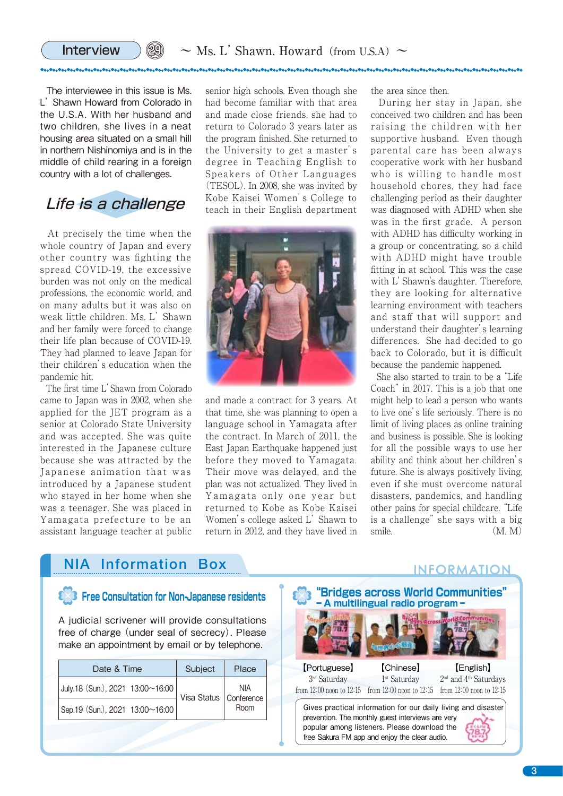The interviewee in this issue is Ms. L' Shawn Howard from Colorado in the U.S.A. With her husband and two children, she lives in a neat housing area situated on a small hill in northern Nishinomiya and is in the middle of child rearing in a foreign country with a lot of challenges.

29

## Life is a challenge

 At precisely the time when the whole country of Japan and every other country was fighting the spread COVID-19, the excessive burden was not only on the medical professions, the economic world, and on many adults but it was also on weak little children. Ms. L' Shawn and her family were forced to change their life plan because of COVID-19. They had planned to leave Japan for their children's education when the pandemic hit.

 The first time L' Shawn from Colorado came to Japan was in 2002, when she applied for the JET program as a senior at Colorado State University and was accepted. She was quite interested in the Japanese culture because she was attracted by the Japanese animation that was introduced by a Japanese student who stayed in her home when she was a teenager. She was placed in Yamagata prefecture to be an assistant language teacher at public

senior high schools. Even though she had become familiar with that area and made close friends, she had to return to Colorado 3 years later as the program finished. She returned to the University to get a master's degree in Teaching English to Speakers of Other Languages (TESOL). In 2008, she was invited by Kobe Kaisei Women's College to teach in their English department



and made a contract for 3 years. At that time, she was planning to open a language school in Yamagata after the contract. In March of 2011, the East Japan Earthquake happened just before they moved to Yamagata. Their move was delayed, and the plan was not actualized. They lived in Yamagata only one year but returned to Kobe as Kobe Kaisei Women's college asked L' Shawn to return in 2012, and they have lived in

the area since then.

 During her stay in Japan, she conceived two children and has been raising the children with her supportive husband. Even though parental care has been always cooperative work with her husband who is willing to handle most household chores, they had face challenging period as their daughter was diagnosed with ADHD when she was in the first grade. A person with ADHD has difficulty working in a group or concentrating, so a child with ADHD might have trouble fitting in at school. This was the case with L' Shawn's daughter. Therefore, they are looking for alternative learning environment with teachers and staff that will support and understand their daughter's learning differences. She had decided to go back to Colorado, but it is difficult because the pandemic happened.

 She also started to train to be a "Life Coach" in 2017. This is a job that one might help to lead a person who wants to live one's life seriously. There is no limit of living places as online training and business is possible. She is looking for all the possible ways to use her ability and think about her children's future. She is always positively living, even if she must overcome natural disasters, pandemics, and handling other pains for special childcare. "Life is a challenge" she says with a big smile.  $(M, M)$ 

## **NIA Information Box CONTROLLER INFORMATION**

|  | <b>8</b> <sup>3</sup> Free Consultation for Non-Japanese residents |  |  |
|--|--------------------------------------------------------------------|--|--|
|  |                                                                    |  |  |

A judicial scrivener will provide consultations free of charge (under seal of secrecy). Please make an appointment by email or by telephone.

| Date & Time                      | Subject | Place                                   |
|----------------------------------|---------|-----------------------------------------|
| July.18 (Sun.), 2021 13:00~16:00 |         | NIA<br>Visa Status   Conference<br>Room |
| Sep.19 (Sun.), 2021 13:00~16:00  |         |                                         |